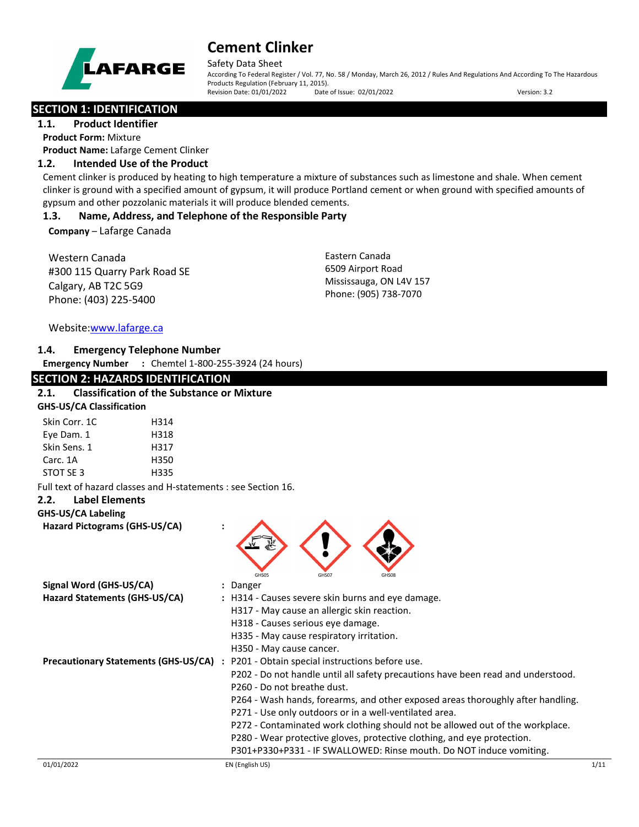

Safety Data Sheet

According To Federal Register / Vol. 77, No. 58 / Monday, March 26, 2012 / Rules And Regulations And According To The Hazardous Products Regulation (February 11, 2015). Revision Date: 01/01/2022 Date of Issue: 02/01/2022 Version: 3.2

## **SECTION 1: IDENTIFICATION**

**1.1. Product Identifier Product Form:** Mixture **Product Name:** Lafarge Cement Clinker

## **1.2. Intended Use of the Product**

Cement clinker is produced by heating to high temperature a mixture of substances such as limestone and shale. When cement clinker is ground with a specified amount of gypsum, it will produce Portland cement or when ground with specified amounts of gypsum and other pozzolanic materials it will produce blended cements.

## **1.3. Name, Address, and Telephone of the Responsible Party**

**Company** – Lafarge Canada

Western Canada #300 115 Quarry Park Road SE Calgary, AB T2C 5G9 Phone: (403) 225-5400

Eastern Canada 6509 Airport Road Mississauga, ON L4V 157 Phone: (905) 738-7070

Website[:www.lafarge.ca](file://leon/customers/CUSTOMERS/Lafarge_North_America_Inc/Projects/Authoring_20180316/Batch_Folder/B_Draft_SDS/MS_Word_Files/www.lafarge.ca)

## **1.4. Emergency Telephone Number**

**Emergency Number :** Chemtel 1-800-255-3924 (24 hours)

## **SECTION 2: HAZARDS IDENTIFICATION**

## **2.1. Classification of the Substance or Mixture**

| <b>GHS-US/CA Classification</b> |      |  |
|---------------------------------|------|--|
| Skin Corr. 1C                   | H314 |  |
| Eye Dam. 1                      | H318 |  |
| Skin Sens. 1                    | H317 |  |
| Carc. 1A                        | H350 |  |
| STOT SF3                        | H335 |  |

Full text of hazard classes and H-statements : see Section 16.

## **2.2. Label Elements**

#### **GHS-US/CA Labeling**

**Hazard Pictograms (GHS-US/CA) :**



| Signal Word (GHS-US/CA)                     | : Danger                                                                         |      |
|---------------------------------------------|----------------------------------------------------------------------------------|------|
| Hazard Statements (GHS-US/CA)               | : H314 - Causes severe skin burns and eye damage.                                |      |
|                                             | H317 - May cause an allergic skin reaction.                                      |      |
|                                             | H318 - Causes serious eye damage.                                                |      |
|                                             | H335 - May cause respiratory irritation.                                         |      |
|                                             | H350 - May cause cancer.                                                         |      |
| <b>Precautionary Statements (GHS-US/CA)</b> | : P201 - Obtain special instructions before use.                                 |      |
|                                             | P202 - Do not handle until all safety precautions have been read and understood. |      |
|                                             | P260 - Do not breathe dust.                                                      |      |
|                                             | P264 - Wash hands, forearms, and other exposed areas thoroughly after handling.  |      |
|                                             | P271 - Use only outdoors or in a well-ventilated area.                           |      |
|                                             | P272 - Contaminated work clothing should not be allowed out of the workplace.    |      |
|                                             | P280 - Wear protective gloves, protective clothing, and eye protection.          |      |
|                                             | P301+P330+P331 - IF SWALLOWED: Rinse mouth. Do NOT induce vomiting.              |      |
| 01/01/2022                                  | EN (English US)                                                                  | 1/11 |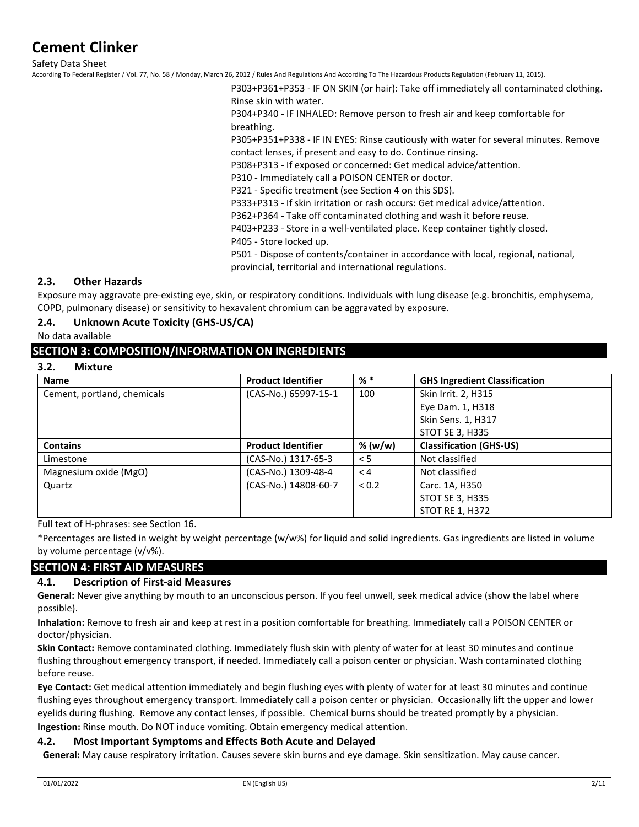Safety Data Sheet

According To Federal Register / Vol. 77, No. 58 / Monday, March 26, 2012 / Rules And Regulations And According To The Hazardous Products Regulation (February 11, 2015).

P303+P361+P353 - IF ON SKIN (or hair): Take off immediately all contaminated clothing. Rinse skin with water.

P304+P340 - IF INHALED: Remove person to fresh air and keep comfortable for breathing.

P305+P351+P338 - IF IN EYES: Rinse cautiously with water for several minutes. Remove contact lenses, if present and easy to do. Continue rinsing.

P308+P313 - If exposed or concerned: Get medical advice/attention.

P310 - Immediately call a POISON CENTER or doctor.

P321 - Specific treatment (see Section 4 on this SDS).

P333+P313 - If skin irritation or rash occurs: Get medical advice/attention.

P362+P364 - Take off contaminated clothing and wash it before reuse.

P403+P233 - Store in a well-ventilated place. Keep container tightly closed.

P405 - Store locked up.

P501 - Dispose of contents/container in accordance with local, regional, national, provincial, territorial and international regulations.

### **2.3. Other Hazards**

Exposure may aggravate pre-existing eye, skin, or respiratory conditions. Individuals with lung disease (e.g. bronchitis, emphysema, COPD, pulmonary disease) or sensitivity to hexavalent chromium can be aggravated by exposure.

#### **2.4. Unknown Acute Toxicity (GHS-US/CA)**

No data available

#### **SECTION 3: COMPOSITION/INFORMATION ON INGREDIENTS**

**3.2. Mixture**

| <b>Name</b>                 | <b>Product Identifier</b> | $%$ $*$   | <b>GHS Ingredient Classification</b> |
|-----------------------------|---------------------------|-----------|--------------------------------------|
| Cement, portland, chemicals | (CAS-No.) 65997-15-1      | 100       | Skin Irrit. 2, H315                  |
|                             |                           |           | Eye Dam. 1, H318                     |
|                             |                           |           | Skin Sens. 1, H317                   |
|                             |                           |           | <b>STOT SE 3, H335</b>               |
| <b>Contains</b>             | <b>Product Identifier</b> | % $(w/w)$ | <b>Classification (GHS-US)</b>       |
| Limestone                   | (CAS-No.) 1317-65-3       | < 5       | Not classified                       |
| Magnesium oxide (MgO)       | (CAS-No.) 1309-48-4       | < 4       | Not classified                       |
| Quartz                      | (CAS-No.) 14808-60-7      | < 0.2     | Carc. 1A, H350                       |
|                             |                           |           | <b>STOT SE 3, H335</b>               |
|                             |                           |           | <b>STOT RE 1, H372</b>               |

Full text of H-phrases: see Section 16.

\*Percentages are listed in weight by weight percentage (w/w%) for liquid and solid ingredients. Gas ingredients are listed in volume by volume percentage (v/v%).

## **SECTION 4: FIRST AID MEASURES**

## **4.1. Description of First-aid Measures**

**General:** Never give anything by mouth to an unconscious person. If you feel unwell, seek medical advice (show the label where possible).

**Inhalation:** Remove to fresh air and keep at rest in a position comfortable for breathing. Immediately call a POISON CENTER or doctor/physician.

**Skin Contact:** Remove contaminated clothing. Immediately flush skin with plenty of water for at least 30 minutes and continue flushing throughout emergency transport, if needed. Immediately call a poison center or physician. Wash contaminated clothing before reuse.

**Eye Contact:** Get medical attention immediately and begin flushing eyes with plenty of water for at least 30 minutes and continue flushing eyes throughout emergency transport. Immediately call a poison center or physician. Occasionally lift the upper and lower eyelids during flushing. Remove any contact lenses, if possible. Chemical burns should be treated promptly by a physician. **Ingestion:** Rinse mouth. Do NOT induce vomiting. Obtain emergency medical attention.

#### **4.2. Most Important Symptoms and Effects Both Acute and Delayed**

**General:** May cause respiratory irritation. Causes severe skin burns and eye damage. Skin sensitization. May cause cancer.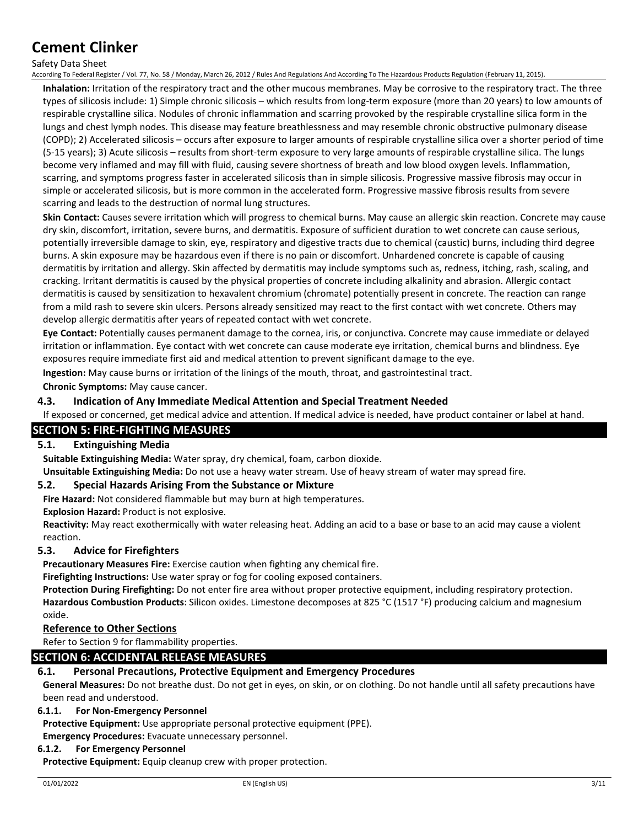#### Safety Data Sheet

According To Federal Register / Vol. 77, No. 58 / Monday, March 26, 2012 / Rules And Regulations And According To The Hazardous Products Regulation (February 11, 2015).

**Inhalation:** Irritation of the respiratory tract and the other mucous membranes. May be corrosive to the respiratory tract. The three types of silicosis include: 1) Simple chronic silicosis – which results from long-term exposure (more than 20 years) to low amounts of respirable crystalline silica. Nodules of chronic inflammation and scarring provoked by the respirable crystalline silica form in the lungs and chest lymph nodes. This disease may feature breathlessness and may resemble chronic obstructive pulmonary disease (COPD); 2) Accelerated silicosis – occurs after exposure to larger amounts of respirable crystalline silica over a shorter period of time (5-15 years); 3) Acute silicosis – results from short-term exposure to very large amounts of respirable crystalline silica. The lungs become very inflamed and may fill with fluid, causing severe shortness of breath and low blood oxygen levels. Inflammation, scarring, and symptoms progress faster in accelerated silicosis than in simple silicosis. Progressive massive fibrosis may occur in simple or accelerated silicosis, but is more common in the accelerated form. Progressive massive fibrosis results from severe scarring and leads to the destruction of normal lung structures.

**Skin Contact:** Causes severe irritation which will progress to chemical burns. May cause an allergic skin reaction. Concrete may cause dry skin, discomfort, irritation, severe burns, and dermatitis. Exposure of sufficient duration to wet concrete can cause serious, potentially irreversible damage to skin, eye, respiratory and digestive tracts due to chemical (caustic) burns, including third degree burns. A skin exposure may be hazardous even if there is no pain or discomfort. Unhardened concrete is capable of causing dermatitis by irritation and allergy. Skin affected by dermatitis may include symptoms such as, redness, itching, rash, scaling, and cracking. Irritant dermatitis is caused by the physical properties of concrete including alkalinity and abrasion. Allergic contact dermatitis is caused by sensitization to hexavalent chromium (chromate) potentially present in concrete. The reaction can range from a mild rash to severe skin ulcers. Persons already sensitized may react to the first contact with wet concrete. Others may develop allergic dermatitis after years of repeated contact with wet concrete.

**Eye Contact:** Potentially causes permanent damage to the cornea, iris, or conjunctiva. Concrete may cause immediate or delayed irritation or inflammation. Eye contact with wet concrete can cause moderate eye irritation, chemical burns and blindness. Eye exposures require immediate first aid and medical attention to prevent significant damage to the eye.

**Ingestion:** May cause burns or irritation of the linings of the mouth, throat, and gastrointestinal tract.

**Chronic Symptoms:** May cause cancer.

#### **4.3. Indication of Any Immediate Medical Attention and Special Treatment Needed**

If exposed or concerned, get medical advice and attention. If medical advice is needed, have product container or label at hand.

### **SECTION 5: FIRE-FIGHTING MEASURES**

#### **5.1. Extinguishing Media**

**Suitable Extinguishing Media:** Water spray, dry chemical, foam, carbon dioxide.

**Unsuitable Extinguishing Media:** Do not use a heavy water stream. Use of heavy stream of water may spread fire.

#### **5.2. Special Hazards Arising From the Substance or Mixture**

**Fire Hazard:** Not considered flammable but may burn at high temperatures.

**Explosion Hazard:** Product is not explosive.

**Reactivity:** May react exothermically with water releasing heat. Adding an acid to a base or base to an acid may cause a violent reaction.

#### **5.3. Advice for Firefighters**

**Precautionary Measures Fire:** Exercise caution when fighting any chemical fire.

**Firefighting Instructions:** Use water spray or fog for cooling exposed containers.

**Protection During Firefighting:** Do not enter fire area without proper protective equipment, including respiratory protection. **Hazardous Combustion Products**: Silicon oxides. Limestone decomposes at 825 °C (1517 °F) producing calcium and magnesium oxide.

#### **Reference to Other Sections**

Refer to Section 9 for flammability properties.

## **SECTION 6: ACCIDENTAL RELEASE MEASURES**

#### **6.1. Personal Precautions, Protective Equipment and Emergency Procedures**

**General Measures:** Do not breathe dust. Do not get in eyes, on skin, or on clothing. Do not handle until all safety precautions have been read and understood.

#### **6.1.1. For Non-Emergency Personnel**

**Protective Equipment:** Use appropriate personal protective equipment (PPE).

**Emergency Procedures:** Evacuate unnecessary personnel.

#### **6.1.2. For Emergency Personnel**

**Protective Equipment:** Equip cleanup crew with proper protection.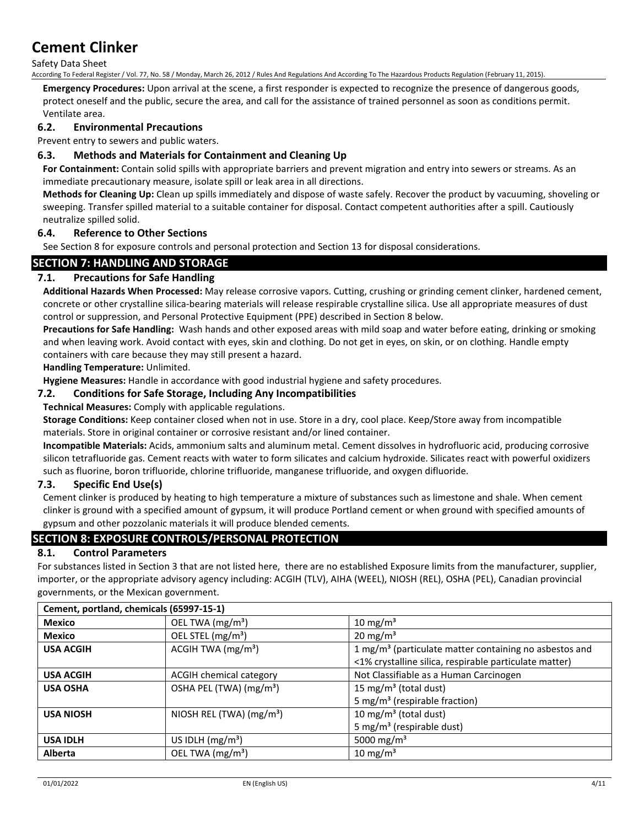Safety Data Sheet

According To Federal Register / Vol. 77, No. 58 / Monday, March 26, 2012 / Rules And Regulations And According To The Hazardous Products Regulation (February 11, 2015).

**Emergency Procedures:** Upon arrival at the scene, a first responder is expected to recognize the presence of dangerous goods, protect oneself and the public, secure the area, and call for the assistance of trained personnel as soon as conditions permit. Ventilate area.

### **6.2. Environmental Precautions**

Prevent entry to sewers and public waters.

### **6.3. Methods and Materials for Containment and Cleaning Up**

**For Containment:** Contain solid spills with appropriate barriers and prevent migration and entry into sewers or streams. As an immediate precautionary measure, isolate spill or leak area in all directions.

**Methods for Cleaning Up:** Clean up spills immediately and dispose of waste safely. Recover the product by vacuuming, shoveling or sweeping. Transfer spilled material to a suitable container for disposal. Contact competent authorities after a spill. Cautiously neutralize spilled solid.

#### **6.4. Reference to Other Sections**

See Section 8 for exposure controls and personal protection and Section 13 for disposal considerations.

### **SECTION 7: HANDLING AND STORAGE**

### **7.1. Precautions for Safe Handling**

**Additional Hazards When Processed:** May release corrosive vapors. Cutting, crushing or grinding cement clinker, hardened cement, concrete or other crystalline silica-bearing materials will release respirable crystalline silica. Use all appropriate measures of dust control or suppression, and Personal Protective Equipment (PPE) described in Section 8 below.

**Precautions for Safe Handling:** Wash hands and other exposed areas with mild soap and water before eating, drinking or smoking and when leaving work. Avoid contact with eyes, skin and clothing. Do not get in eyes, on skin, or on clothing. Handle empty containers with care because they may still present a hazard.

**Handling Temperature:** Unlimited.

**Hygiene Measures:** Handle in accordance with good industrial hygiene and safety procedures.

#### **7.2. Conditions for Safe Storage, Including Any Incompatibilities**

#### **Technical Measures:** Comply with applicable regulations.

**Storage Conditions:** Keep container closed when not in use. Store in a dry, cool place. Keep/Store away from incompatible materials. Store in original container or corrosive resistant and/or lined container.

**Incompatible Materials:** Acids, ammonium salts and aluminum metal. Cement dissolves in hydrofluoric acid, producing corrosive silicon tetrafluoride gas. Cement reacts with water to form silicates and calcium hydroxide. Silicates react with powerful oxidizers such as fluorine, boron trifluoride, chlorine trifluoride, manganese trifluoride, and oxygen difluoride.

#### **7.3. Specific End Use(s)**

Cement clinker is produced by heating to high temperature a mixture of substances such as limestone and shale. When cement clinker is ground with a specified amount of gypsum, it will produce Portland cement or when ground with specified amounts of gypsum and other pozzolanic materials it will produce blended cements.

## **SECTION 8: EXPOSURE CONTROLS/PERSONAL PROTECTION**

#### **8.1. Control Parameters**

For substances listed in Section 3 that are not listed here, there are no established Exposure limits from the manufacturer, supplier, importer, or the appropriate advisory agency including: ACGIH (TLV), AIHA (WEEL), NIOSH (REL), OSHA (PEL), Canadian provincial governments, or the Mexican government.

| Cement, portland, chemicals (65997-15-1) |                                     |                                                                                                                              |
|------------------------------------------|-------------------------------------|------------------------------------------------------------------------------------------------------------------------------|
| <b>Mexico</b>                            | OEL TWA (mg/m <sup>3</sup> )        | 10 mg/m <sup>3</sup>                                                                                                         |
| <b>Mexico</b>                            | OEL STEL (mg/m <sup>3</sup> )       | 20 mg/m <sup>3</sup>                                                                                                         |
| <b>USA ACGIH</b>                         | ACGIH TWA $(mg/m3)$                 | 1 mg/m <sup>3</sup> (particulate matter containing no asbestos and<br><1% crystalline silica, respirable particulate matter) |
| <b>USA ACGIH</b>                         | <b>ACGIH chemical category</b>      | Not Classifiable as a Human Carcinogen                                                                                       |
| <b>USA OSHA</b>                          | OSHA PEL (TWA) (mg/m <sup>3</sup> ) | 15 mg/m <sup>3</sup> (total dust)<br>5 mg/m <sup>3</sup> (respirable fraction)                                               |
| <b>USA NIOSH</b>                         | NIOSH REL (TWA) $(mg/m3)$           | 10 mg/m <sup>3</sup> (total dust)<br>5 mg/m <sup>3</sup> (respirable dust)                                                   |
| <b>USA IDLH</b>                          | US IDLH $(mg/m3)$                   | 5000 mg/m <sup>3</sup>                                                                                                       |
| <b>Alberta</b>                           | OEL TWA (mg/m <sup>3</sup> )        | 10 mg/m <sup>3</sup>                                                                                                         |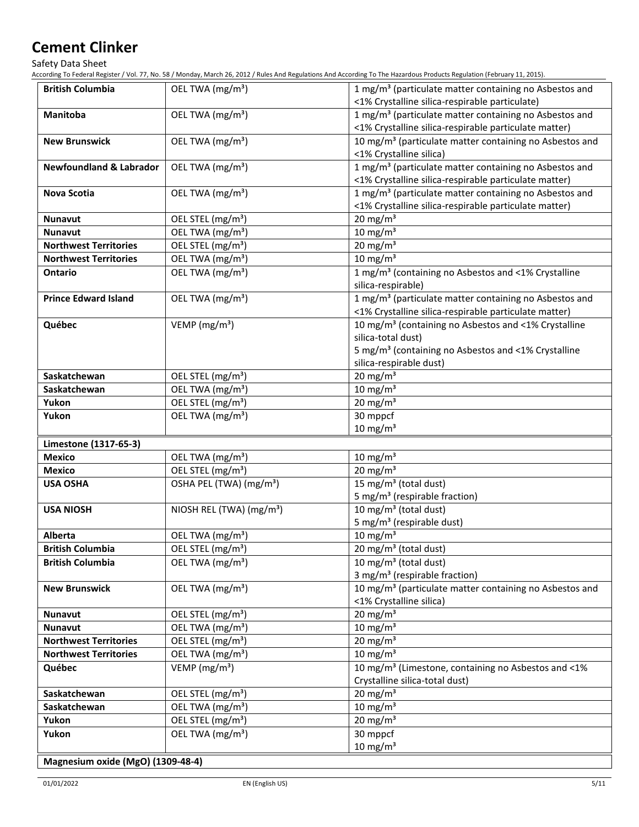Safety Data Sheet

According To Federal Register / Vol. 77, No. 58 / Monday, March 26, 2012 / Rules And Regulations And According To The Hazardous Products Regulation (February 11, 2015).

| <b>British Columbia</b>            | OEL TWA (mg/m <sup>3</sup> )         | 1 mg/m <sup>3</sup> (particulate matter containing no Asbestos and<br><1% Crystalline silica-respirable particulate) |
|------------------------------------|--------------------------------------|----------------------------------------------------------------------------------------------------------------------|
| <b>Manitoba</b>                    | OEL TWA (mg/m <sup>3</sup> )         | 1 mg/m <sup>3</sup> (particulate matter containing no Asbestos and                                                   |
|                                    |                                      | <1% Crystalline silica-respirable particulate matter)                                                                |
| <b>New Brunswick</b>               | OEL TWA (mg/m <sup>3</sup> )         | 10 mg/m <sup>3</sup> (particulate matter containing no Asbestos and                                                  |
|                                    |                                      | <1% Crystalline silica)                                                                                              |
| <b>Newfoundland &amp; Labrador</b> | OEL TWA (mg/m <sup>3</sup> )         | 1 mg/m <sup>3</sup> (particulate matter containing no Asbestos and                                                   |
|                                    |                                      | <1% Crystalline silica-respirable particulate matter)                                                                |
| <b>Nova Scotia</b>                 | OEL TWA (mg/m <sup>3</sup> )         | 1 mg/m <sup>3</sup> (particulate matter containing no Asbestos and                                                   |
|                                    |                                      | <1% Crystalline silica-respirable particulate matter)                                                                |
| <b>Nunavut</b>                     | OEL STEL (mg/m <sup>3</sup> )        | $20 \text{ mg/m}^3$                                                                                                  |
| <b>Nunavut</b>                     | OEL TWA (mg/m <sup>3</sup> )         | $10 \text{ mg/m}^3$                                                                                                  |
| <b>Northwest Territories</b>       | OEL STEL (mg/m <sup>3</sup> )        | 20 mg/m $3$                                                                                                          |
| <b>Northwest Territories</b>       | OEL TWA (mg/m <sup>3</sup> )         | 10 mg/m $3$                                                                                                          |
| <b>Ontario</b>                     | OEL TWA (mg/m <sup>3</sup> )         | 1 mg/m <sup>3</sup> (containing no Asbestos and <1% Crystalline                                                      |
|                                    |                                      | silica-respirable)                                                                                                   |
| <b>Prince Edward Island</b>        | OEL TWA (mg/m <sup>3</sup> )         | 1 mg/m <sup>3</sup> (particulate matter containing no Asbestos and                                                   |
|                                    |                                      | <1% Crystalline silica-respirable particulate matter)                                                                |
| Québec                             | VEMP ( $mg/m3$ )                     | 10 mg/m <sup>3</sup> (containing no Asbestos and <1% Crystalline                                                     |
|                                    |                                      | silica-total dust)                                                                                                   |
|                                    |                                      | 5 mg/m <sup>3</sup> (containing no Asbestos and <1% Crystalline                                                      |
|                                    |                                      | silica-respirable dust)                                                                                              |
| Saskatchewan                       | OEL STEL (mg/m <sup>3</sup> )        | 20 mg/m $3$                                                                                                          |
| Saskatchewan                       | OEL TWA (mg/m <sup>3</sup> )         | 10 mg/m $3$                                                                                                          |
| Yukon                              | OEL STEL (mg/m <sup>3</sup> )        | $20 \text{ mg/m}^3$                                                                                                  |
| Yukon                              | OEL TWA (mg/m <sup>3</sup> )         | 30 mppcf                                                                                                             |
|                                    |                                      | $10 \text{ mg/m}^3$                                                                                                  |
| Limestone (1317-65-3)              |                                      |                                                                                                                      |
| <b>Mexico</b>                      | OEL TWA (mg/m <sup>3</sup> )         | 10 mg/m $3$                                                                                                          |
| Mexico                             | OEL STEL (mg/m <sup>3</sup> )        | $20 \text{ mg/m}^3$                                                                                                  |
| <b>USA OSHA</b>                    | OSHA PEL (TWA) (mg/m <sup>3</sup> )  | 15 mg/m <sup>3</sup> (total dust)                                                                                    |
|                                    |                                      | 5 mg/m <sup>3</sup> (respirable fraction)                                                                            |
| <b>USA NIOSH</b>                   | NIOSH REL (TWA) (mg/m <sup>3</sup> ) | 10 mg/m <sup>3</sup> (total dust)                                                                                    |
|                                    |                                      | 5 mg/m <sup>3</sup> (respirable dust)                                                                                |
| Alberta                            | OEL TWA (mg/m <sup>3</sup> )         | 10 mg/m $3$                                                                                                          |
| <b>British Columbia</b>            | OEL STEL (mg/m <sup>3</sup> )        | 20 mg/m <sup>3</sup> (total dust)                                                                                    |
| <b>British Columbia</b>            | OEL TWA (mg/m <sup>3</sup> )         | 10 mg/m <sup>3</sup> (total dust)                                                                                    |
|                                    |                                      | 3 mg/m <sup>3</sup> (respirable fraction)                                                                            |
| <b>New Brunswick</b>               | OEL TWA (mg/m <sup>3</sup> )         | 10 mg/m <sup>3</sup> (particulate matter containing no Asbestos and                                                  |
|                                    |                                      | <1% Crystalline silica)                                                                                              |
| <b>Nunavut</b>                     | OEL STEL (mg/m <sup>3</sup> )        | 20 mg/m $3$                                                                                                          |
| <b>Nunavut</b>                     | OEL TWA (mg/m <sup>3</sup> )         | 10 mg/m $3$                                                                                                          |
| <b>Northwest Territories</b>       | OEL STEL (mg/m <sup>3</sup> )        | 20 mg/m <sup>3</sup>                                                                                                 |
| <b>Northwest Territories</b>       | OEL TWA (mg/m <sup>3</sup> )         | 10 mg/m $3$                                                                                                          |
| Québec                             | VEMP ( $mg/m3$ )                     | 10 mg/m <sup>3</sup> (Limestone, containing no Asbestos and <1%                                                      |
|                                    |                                      | Crystalline silica-total dust)                                                                                       |
| Saskatchewan                       | OEL STEL (mg/m <sup>3</sup> )        | 20 mg/m $3$                                                                                                          |
| Saskatchewan                       | OEL TWA (mg/m <sup>3</sup> )         | 10 mg/m $3$                                                                                                          |
| Yukon                              | OEL STEL (mg/m <sup>3</sup> )        | $20 \text{ mg/m}^3$                                                                                                  |
| Yukon                              | OEL TWA (mg/m <sup>3</sup> )         | 30 mppcf                                                                                                             |
|                                    |                                      | 10 mg/m $3$                                                                                                          |
| Magnesium oxide (MgO) (1309-48-4)  |                                      |                                                                                                                      |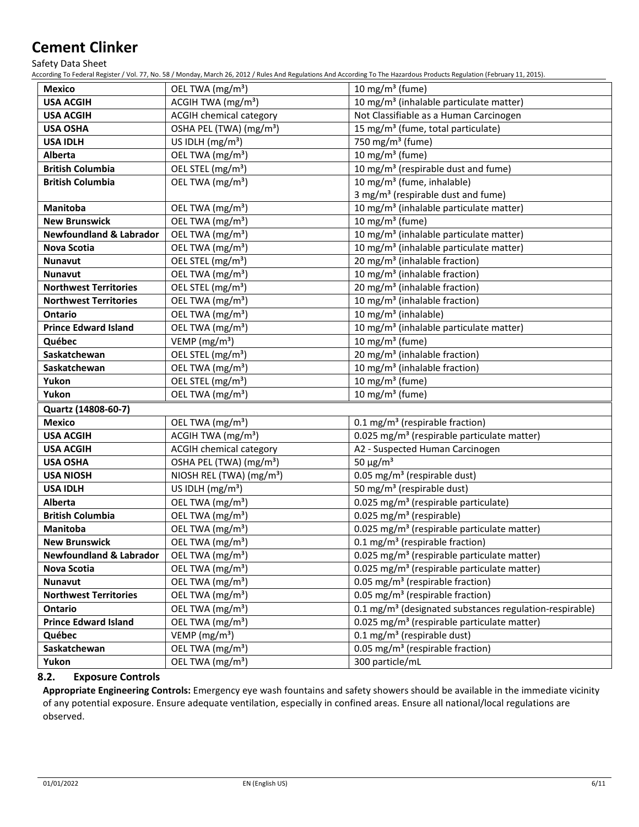Safety Data Sheet

According To Federal Register / Vol. 77, No. 58 / Monday, March 26, 2012 / Rules And Regulations And According To The Hazardous Products Regulation (February 11, 2015).

| <b>Mexico</b>                      | OEL TWA (mg/m <sup>3</sup> )         | 10 mg/m $3$ (fume)                                                  |
|------------------------------------|--------------------------------------|---------------------------------------------------------------------|
| <b>USA ACGIH</b>                   | ACGIH TWA $(mg/m3)$                  | 10 mg/m <sup>3</sup> (inhalable particulate matter)                 |
| <b>USA ACGIH</b>                   | <b>ACGIH chemical category</b>       | Not Classifiable as a Human Carcinogen                              |
| <b>USA OSHA</b>                    | OSHA PEL (TWA) (mg/m <sup>3</sup> )  | 15 mg/m <sup>3</sup> (fume, total particulate)                      |
| <b>USA IDLH</b>                    | US IDLH $(mg/m3)$                    | 750 mg/m <sup>3</sup> (fume)                                        |
| <b>Alberta</b>                     | OEL TWA (mg/m <sup>3</sup> )         | $\overline{10}$ mg/m <sup>3</sup> (fume)                            |
| <b>British Columbia</b>            | OEL STEL (mg/m <sup>3</sup> )        | 10 mg/m <sup>3</sup> (respirable dust and fume)                     |
| <b>British Columbia</b>            | OEL TWA (mg/m <sup>3</sup> )         | 10 mg/m <sup>3</sup> (fume, inhalable)                              |
|                                    |                                      | 3 mg/m <sup>3</sup> (respirable dust and fume)                      |
| Manitoba                           | OEL TWA (mg/m <sup>3</sup> )         | 10 mg/m <sup>3</sup> (inhalable particulate matter)                 |
| <b>New Brunswick</b>               | OEL TWA (mg/m <sup>3</sup> )         | 10 mg/m $3$ (fume)                                                  |
| <b>Newfoundland &amp; Labrador</b> | OEL TWA (mg/m <sup>3</sup> )         | 10 mg/m <sup>3</sup> (inhalable particulate matter)                 |
| Nova Scotia                        | OEL TWA (mg/m <sup>3</sup> )         | 10 mg/m <sup>3</sup> (inhalable particulate matter)                 |
| Nunavut                            | OEL STEL (mg/m <sup>3</sup> )        | 20 mg/m <sup>3</sup> (inhalable fraction)                           |
| <b>Nunavut</b>                     | OEL TWA (mg/m <sup>3</sup> )         | 10 mg/m <sup>3</sup> (inhalable fraction)                           |
| <b>Northwest Territories</b>       | OEL STEL (mg/m <sup>3</sup> )        | 20 mg/m <sup>3</sup> (inhalable fraction)                           |
| <b>Northwest Territories</b>       | OEL TWA (mg/m <sup>3</sup> )         | 10 mg/m <sup>3</sup> (inhalable fraction)                           |
| <b>Ontario</b>                     | OEL TWA (mg/m <sup>3</sup> )         | 10 mg/m <sup>3</sup> (inhalable)                                    |
| <b>Prince Edward Island</b>        | OEL TWA (mg/m <sup>3</sup> )         | 10 mg/m <sup>3</sup> (inhalable particulate matter)                 |
| Québec                             | VEMP ( $mg/m3$ )                     | 10 mg/m <sup>3</sup> (fume)                                         |
| Saskatchewan                       | OEL STEL (mg/m <sup>3</sup> )        | 20 mg/m <sup>3</sup> (inhalable fraction)                           |
| Saskatchewan                       | OEL TWA (mg/m <sup>3</sup> )         | 10 mg/m <sup>3</sup> (inhalable fraction)                           |
| Yukon                              | OEL STEL (mg/m <sup>3</sup> )        | 10 mg/m <sup>3</sup> (fume)                                         |
| Yukon                              | OEL TWA (mg/m <sup>3</sup> )         | 10 mg/m $3$ (fume)                                                  |
| Quartz (14808-60-7)                |                                      |                                                                     |
| <b>Mexico</b>                      | OEL TWA (mg/m <sup>3</sup> )         | 0.1 mg/m <sup>3</sup> (respirable fraction)                         |
| <b>USA ACGIH</b>                   | ACGIH TWA $(mg/m3)$                  | 0.025 mg/m <sup>3</sup> (respirable particulate matter)             |
| <b>USA ACGIH</b>                   | <b>ACGIH chemical category</b>       | A2 - Suspected Human Carcinogen                                     |
| <b>USA OSHA</b>                    | OSHA PEL (TWA) (mg/m <sup>3</sup> )  | 50 $\mu$ g/m <sup>3</sup>                                           |
| <b>USA NIOSH</b>                   | NIOSH REL (TWA) (mg/m <sup>3</sup> ) | 0.05 mg/m <sup>3</sup> (respirable dust)                            |
| <b>USA IDLH</b>                    | US IDLH $(mg/m3)$                    | 50 mg/m <sup>3</sup> (respirable dust)                              |
| <b>Alberta</b>                     | OEL TWA (mg/m <sup>3</sup> )         | 0.025 mg/m <sup>3</sup> (respirable particulate)                    |
| <b>British Columbia</b>            | OEL TWA (mg/m <sup>3</sup> )         | 0.025 mg/m <sup>3</sup> (respirable)                                |
| <b>Manitoba</b>                    | OEL TWA (mg/m <sup>3</sup> )         | 0.025 mg/m <sup>3</sup> (respirable particulate matter)             |
| <b>New Brunswick</b>               | OEL TWA (mg/m <sup>3</sup> )         | 0.1 mg/m <sup>3</sup> (respirable fraction)                         |
| <b>Newfoundland &amp; Labrador</b> | OEL TWA (mg/m <sup>3</sup> )         | 0.025 mg/m <sup>3</sup> (respirable particulate matter)             |
| Nova Scotia                        | OEL TWA (mg/m <sup>3</sup> )         | 0.025 mg/m <sup>3</sup> (respirable particulate matter)             |
| Nunavut                            | OEL TWA (mg/m <sup>3</sup> )         | 0.05 mg/m <sup>3</sup> (respirable fraction)                        |
| <b>Northwest Territories</b>       | OEL TWA (mg/m <sup>3</sup> )         | 0.05 mg/m <sup>3</sup> (respirable fraction)                        |
| <b>Ontario</b>                     | OEL TWA (mg/m <sup>3</sup> )         | 0.1 mg/m <sup>3</sup> (designated substances regulation-respirable) |
| <b>Prince Edward Island</b>        | OEL TWA (mg/m <sup>3</sup> )         | 0.025 mg/m <sup>3</sup> (respirable particulate matter)             |
| Québec                             | VEMP (mg/m <sup>3</sup> )            | 0.1 mg/m <sup>3</sup> (respirable dust)                             |
| Saskatchewan                       | OEL TWA (mg/m <sup>3</sup> )         | 0.05 mg/m <sup>3</sup> (respirable fraction)                        |
| Yukon                              | OEL TWA (mg/m <sup>3</sup> )         | 300 particle/mL                                                     |

## **8.2. Exposure Controls**

**Appropriate Engineering Controls:** Emergency eye wash fountains and safety showers should be available in the immediate vicinity of any potential exposure. Ensure adequate ventilation, especially in confined areas. Ensure all national/local regulations are observed.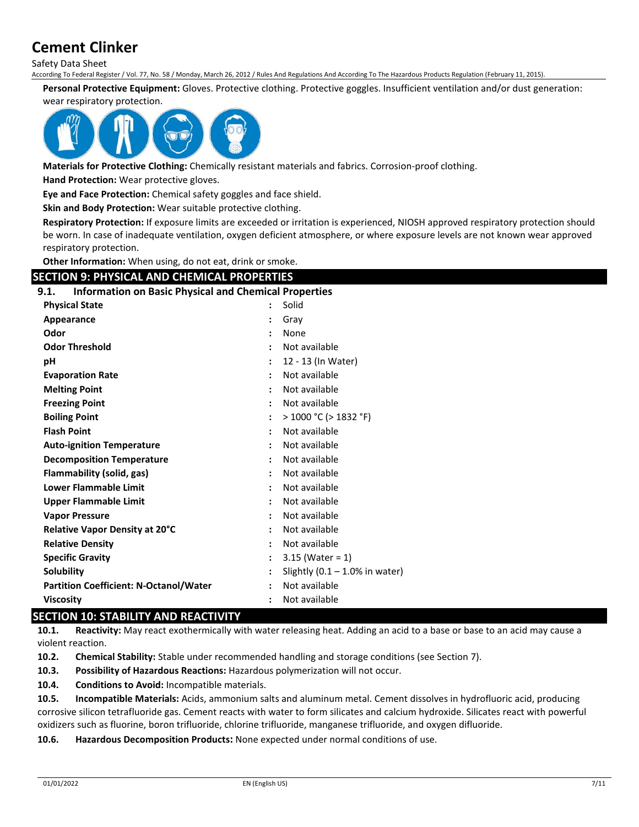Safety Data Sheet

According To Federal Register / Vol. 77, No. 58 / Monday, March 26, 2012 / Rules And Regulations And According To The Hazardous Products Regulation (February 11, 2015).

**Personal Protective Equipment:** Gloves. Protective clothing. Protective goggles. Insufficient ventilation and/or dust generation:

#### wear respiratory protection.



**Materials for Protective Clothing:** Chemically resistant materials and fabrics. Corrosion-proof clothing.

**Hand Protection:** Wear protective gloves.

**Eye and Face Protection:** Chemical safety goggles and face shield.

**Skin and Body Protection:** Wear suitable protective clothing.

**Respiratory Protection:** If exposure limits are exceeded or irritation is experienced, NIOSH approved respiratory protection should be worn. In case of inadequate ventilation, oxygen deficient atmosphere, or where exposure levels are not known wear approved respiratory protection.

**Other Information:** When using, do not eat, drink or smoke.

## **SECTION 9: PHYSICAL AND CHEMICAL PROPERTIES**

#### **9.1. Information on Basic Physical and Chemical Properties**

| <b>Physical State</b>                         | Solid                             |  |
|-----------------------------------------------|-----------------------------------|--|
| Appearance                                    | Gray                              |  |
| Odor                                          | None                              |  |
| <b>Odor Threshold</b>                         | Not available                     |  |
| рH                                            | 12 - 13 (In Water)                |  |
| <b>Evaporation Rate</b>                       | Not available                     |  |
| <b>Melting Point</b>                          | Not available                     |  |
| <b>Freezing Point</b>                         | Not available                     |  |
| <b>Boiling Point</b>                          | $>$ 1000 °C ( $>$ 1832 °F)        |  |
| <b>Flash Point</b>                            | Not available                     |  |
| <b>Auto-ignition Temperature</b>              | Not available                     |  |
| <b>Decomposition Temperature</b>              | Not available                     |  |
| Flammability (solid, gas)                     | Not available                     |  |
| <b>Lower Flammable Limit</b>                  | Not available                     |  |
| <b>Upper Flammable Limit</b>                  | Not available                     |  |
| <b>Vapor Pressure</b>                         | Not available                     |  |
| <b>Relative Vapor Density at 20°C</b>         | Not available                     |  |
| <b>Relative Density</b>                       | Not available                     |  |
| <b>Specific Gravity</b>                       | $3.15$ (Water = 1)                |  |
| Solubility                                    | Slightly $(0.1 - 1.0\%$ in water) |  |
| <b>Partition Coefficient: N-Octanol/Water</b> | Not available                     |  |
| <b>Viscosity</b>                              | Not available                     |  |

## **SECTION 10: STABILITY AND REACTIVITY**

**10.1. Reactivity:** May react exothermically with water releasing heat. Adding an acid to a base or base to an acid may cause a violent reaction.

**10.2. Chemical Stability:** Stable under recommended handling and storage conditions (see Section 7).

**10.3. Possibility of Hazardous Reactions:** Hazardous polymerization will not occur.

**10.4. Conditions to Avoid:** Incompatible materials.

**10.5. Incompatible Materials:** Acids, ammonium salts and aluminum metal. Cement dissolves in hydrofluoric acid, producing corrosive silicon tetrafluoride gas. Cement reacts with water to form silicates and calcium hydroxide. Silicates react with powerful oxidizers such as fluorine, boron trifluoride, chlorine trifluoride, manganese trifluoride, and oxygen difluoride.

**10.6. Hazardous Decomposition Products:** None expected under normal conditions of use.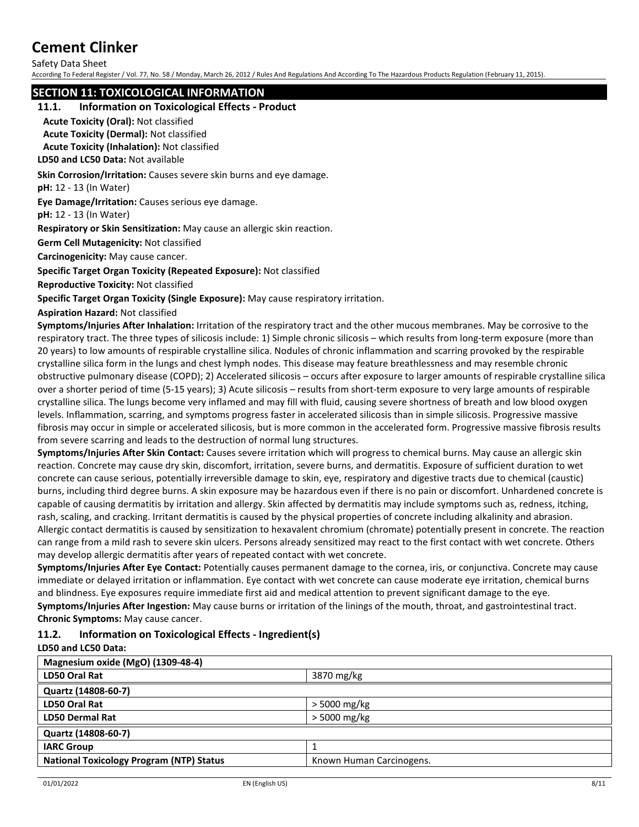Safety Data Sheet

According To Federal Register / Vol. 77, No. 58 / Monday, March 26, 2012 / Rules And Regulations And According To The Hazardous Products Regulation (February 11, 2015).

## **SECTION 11: TOXICOLOGICAL INFORMATION**

#### **11.1. Information on Toxicological Effects - Product**

**Acute Toxicity (Oral):** Not classified

**Acute Toxicity (Dermal):** Not classified

**Acute Toxicity (Inhalation):** Not classified

**LD50 and LC50 Data:** Not available

**Skin Corrosion/Irritation:** Causes severe skin burns and eye damage.

**pH:** 12 - 13 (In Water)

**Eye Damage/Irritation:** Causes serious eye damage.

**pH:** 12 - 13 (In Water)

**Respiratory or Skin Sensitization:** May cause an allergic skin reaction.

**Germ Cell Mutagenicity:** Not classified

**Carcinogenicity:** May cause cancer.

**Specific Target Organ Toxicity (Repeated Exposure):** Not classified

**Reproductive Toxicity:** Not classified

**Specific Target Organ Toxicity (Single Exposure):** May cause respiratory irritation.

**Aspiration Hazard:** Not classified

**Symptoms/Injuries After Inhalation:** Irritation of the respiratory tract and the other mucous membranes. May be corrosive to the respiratory tract. The three types of silicosis include: 1) Simple chronic silicosis – which results from long-term exposure (more than 20 years) to low amounts of respirable crystalline silica. Nodules of chronic inflammation and scarring provoked by the respirable crystalline silica form in the lungs and chest lymph nodes. This disease may feature breathlessness and may resemble chronic obstructive pulmonary disease (COPD); 2) Accelerated silicosis – occurs after exposure to larger amounts of respirable crystalline silica over a shorter period of time (5-15 years); 3) Acute silicosis – results from short-term exposure to very large amounts of respirable crystalline silica. The lungs become very inflamed and may fill with fluid, causing severe shortness of breath and low blood oxygen levels. Inflammation, scarring, and symptoms progress faster in accelerated silicosis than in simple silicosis. Progressive massive fibrosis may occur in simple or accelerated silicosis, but is more common in the accelerated form. Progressive massive fibrosis results from severe scarring and leads to the destruction of normal lung structures.

**Symptoms/Injuries After Skin Contact:** Causes severe irritation which will progress to chemical burns. May cause an allergic skin reaction. Concrete may cause dry skin, discomfort, irritation, severe burns, and dermatitis. Exposure of sufficient duration to wet concrete can cause serious, potentially irreversible damage to skin, eye, respiratory and digestive tracts due to chemical (caustic) burns, including third degree burns. A skin exposure may be hazardous even if there is no pain or discomfort. Unhardened concrete is capable of causing dermatitis by irritation and allergy. Skin affected by dermatitis may include symptoms such as, redness, itching, rash, scaling, and cracking. Irritant dermatitis is caused by the physical properties of concrete including alkalinity and abrasion. Allergic contact dermatitis is caused by sensitization to hexavalent chromium (chromate) potentially present in concrete. The reaction can range from a mild rash to severe skin ulcers. Persons already sensitized may react to the first contact with wet concrete. Others may develop allergic dermatitis after years of repeated contact with wet concrete.

**Symptoms/Injuries After Eye Contact:** Potentially causes permanent damage to the cornea, iris, or conjunctiva. Concrete may cause immediate or delayed irritation or inflammation. Eye contact with wet concrete can cause moderate eye irritation, chemical burns and blindness. Eye exposures require immediate first aid and medical attention to prevent significant damage to the eye. **Symptoms/Injuries After Ingestion:** May cause burns or irritation of the linings of the mouth, throat, and gastrointestinal tract. **Chronic Symptoms:** May cause cancer.

#### **11.2. Information on Toxicological Effects - Ingredient(s) LD50 and LC50 Data:**

| Magnesium oxide (MgO) (1309-48-4)               |                          |  |
|-------------------------------------------------|--------------------------|--|
| LD50 Oral Rat                                   | 3870 mg/kg               |  |
| Quartz (14808-60-7)                             |                          |  |
| LD50 Oral Rat                                   | > 5000 mg/kg             |  |
| <b>LD50 Dermal Rat</b>                          | $>$ 5000 mg/kg           |  |
| Quartz (14808-60-7)                             |                          |  |
| <b>IARC Group</b>                               |                          |  |
| <b>National Toxicology Program (NTP) Status</b> | Known Human Carcinogens. |  |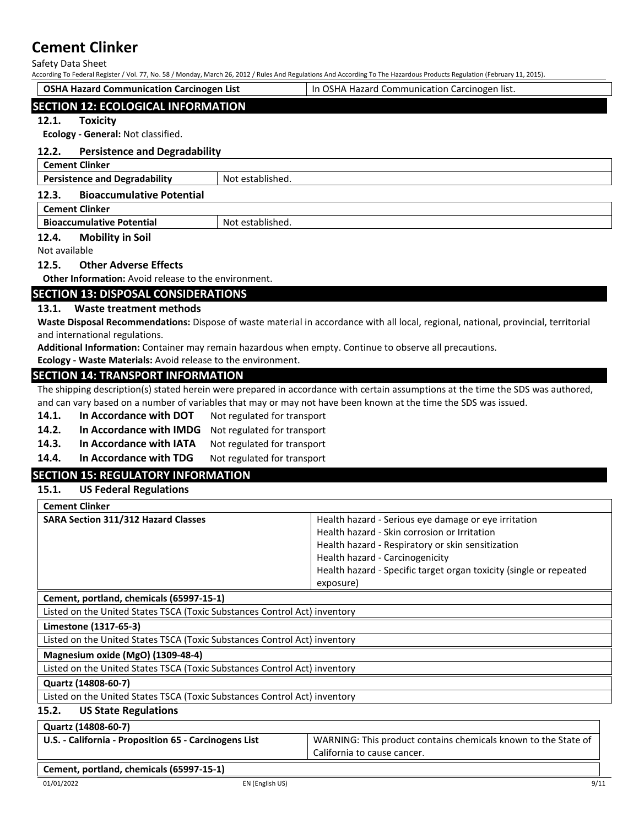Safety Data Sheet

According To Federal Register / Vol. 77, No. 58 / Monday, March 26, 2012 / Rules And Regulations And According To The Hazardous Products Regulation (February 11, 2015).

|               | <b>OSHA Hazard Communication Carcinogen List</b>            |                  | In OSHA Hazard Communication Carcinogen list. |
|---------------|-------------------------------------------------------------|------------------|-----------------------------------------------|
|               | <b>SECTION 12: ECOLOGICAL INFORMATION</b>                   |                  |                                               |
| 12.1.         | <b>Toxicity</b><br>Ecology - General: Not classified.       |                  |                                               |
| 12.2.         | <b>Persistence and Degradability</b>                        |                  |                                               |
|               | <b>Cement Clinker</b>                                       |                  |                                               |
|               | <b>Persistence and Degradability</b>                        | Not established. |                                               |
| 12.3.         | <b>Bioaccumulative Potential</b>                            |                  |                                               |
|               | <b>Cement Clinker</b>                                       |                  |                                               |
|               | <b>Bioaccumulative Potential</b>                            | Not established. |                                               |
| 12.4.         | <b>Mobility in Soil</b>                                     |                  |                                               |
| Not available |                                                             |                  |                                               |
| 12.5.         | <b>Other Adverse Effects</b>                                |                  |                                               |
|               | <b>Other Information:</b> Avoid release to the environment. |                  |                                               |

## **SECTION 13: DISPOSAL CONSIDERATIONS**

#### **13.1. Waste treatment methods**

**Waste Disposal Recommendations:** Dispose of waste material in accordance with all local, regional, national, provincial, territorial and international regulations.

**Additional Information:** Container may remain hazardous when empty. Continue to observe all precautions.

**Ecology - Waste Materials:** Avoid release to the environment.

#### **SECTION 14: TRANSPORT INFORMATION**

The shipping description(s) stated herein were prepared in accordance with certain assumptions at the time the SDS was authored, and can vary based on a number of variables that may or may not have been known at the time the SDS was issued.

- **14.1.** In Accordance with DOT Not regulated for transport
- **14.2. In Accordance with IMDG** Not regulated for transport
- 14.3. In Accordance with IATA Not regulated for transport
- **14.4.** In Accordance with TDG Not regulated for transport

## **SECTION 15: REGULATORY INFORMATION**

## **15.1. US Federal Regulations**

| <b>Cement Clinker</b>                                                     |                                                                    |
|---------------------------------------------------------------------------|--------------------------------------------------------------------|
| <b>SARA Section 311/312 Hazard Classes</b>                                | Health hazard - Serious eye damage or eye irritation               |
|                                                                           | Health hazard - Skin corrosion or Irritation                       |
|                                                                           | Health hazard - Respiratory or skin sensitization                  |
|                                                                           | Health hazard - Carcinogenicity                                    |
|                                                                           | Health hazard - Specific target organ toxicity (single or repeated |
|                                                                           | exposure)                                                          |
| Cement, portland, chemicals (65997-15-1)                                  |                                                                    |
| Listed on the United States TSCA (Toxic Substances Control Act) inventory |                                                                    |
|                                                                           |                                                                    |

**Limestone (1317-65-3)**

Listed on the United States TSCA (Toxic Substances Control Act) inventory

**Magnesium oxide (MgO) (1309-48-4)**

Listed on the United States TSCA (Toxic Substances Control Act) inventory

#### **Quartz (14808-60-7)**

Listed on the United States TSCA (Toxic Substances Control Act) inventory

### **15.2. US State Regulations**

### **Quartz (14808-60-7)**

| U.S. - California - Proposition 65 - Carcinogens List | WARNING: This product contains chemicals known to the State of |
|-------------------------------------------------------|----------------------------------------------------------------|
|                                                       | California to cause cancer.                                    |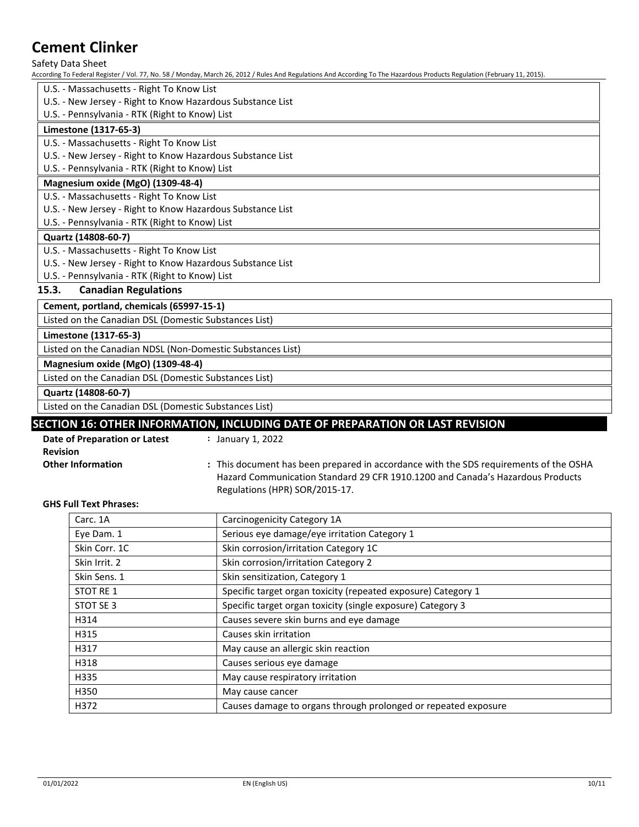Safety Data Sheet

According To Federal Register / Vol. 77, No. 58 / Monday, March 26, 2012 / Rules And Regulations And According To The Hazardous Products Regulation (February 11, 2015).

- U.S. Massachusetts Right To Know List
- U.S. New Jersey Right to Know Hazardous Substance List
- U.S. Pennsylvania RTK (Right to Know) List

#### **Limestone (1317-65-3)**

- U.S. Massachusetts Right To Know List
- U.S. New Jersey Right to Know Hazardous Substance List
- U.S. Pennsylvania RTK (Right to Know) List

#### **Magnesium oxide (MgO) (1309-48-4)**

U.S. - Massachusetts - Right To Know List

- U.S. New Jersey Right to Know Hazardous Substance List
- U.S. Pennsylvania RTK (Right to Know) List

#### **Quartz (14808-60-7)**

- U.S. Massachusetts Right To Know List
- U.S. New Jersey Right to Know Hazardous Substance List
- U.S. Pennsylvania RTK (Right to Know) List

#### **15.3. Canadian Regulations**

**Cement, portland, chemicals (65997-15-1)**

Listed on the Canadian DSL (Domestic Substances List)

## **Limestone (1317-65-3)**

Listed on the Canadian NDSL (Non-Domestic Substances List)

## **Magnesium oxide (MgO) (1309-48-4)**

Listed on the Canadian DSL (Domestic Substances List)

**Quartz (14808-60-7)**

Listed on the Canadian DSL (Domestic Substances List)

## **SECTION 16: OTHER INFORMATION, INCLUDING DATE OF PREPARATION OR LAST REVISION**

| Date of Preparation or Latest | January 1, 2022                                                                       |
|-------------------------------|---------------------------------------------------------------------------------------|
| <b>Revision</b>               |                                                                                       |
| <b>Other Information</b>      | : This document has been prepared in accordance with the SDS requirements of the OSHA |
|                               | Hazard Communication Standard 29 CFR 1910.1200 and Canada's Hazardous Products        |
|                               | Regulations (HPR) SOR/2015-17.                                                        |

#### **GHS Full Text Phrases:**

| Carc. 1A      | Carcinogenicity Category 1A                                    |
|---------------|----------------------------------------------------------------|
| Eye Dam. 1    | Serious eye damage/eye irritation Category 1                   |
| Skin Corr. 1C | Skin corrosion/irritation Category 1C                          |
| Skin Irrit, 2 | Skin corrosion/irritation Category 2                           |
| Skin Sens. 1  | Skin sensitization, Category 1                                 |
| STOT RE 1     | Specific target organ toxicity (repeated exposure) Category 1  |
| STOT SE 3     | Specific target organ toxicity (single exposure) Category 3    |
| H314          | Causes severe skin burns and eye damage                        |
| H315          | Causes skin irritation                                         |
| H317          | May cause an allergic skin reaction                            |
| H318          | Causes serious eye damage                                      |
| H335          | May cause respiratory irritation                               |
| H350          | May cause cancer                                               |
| H372          | Causes damage to organs through prolonged or repeated exposure |
|               |                                                                |